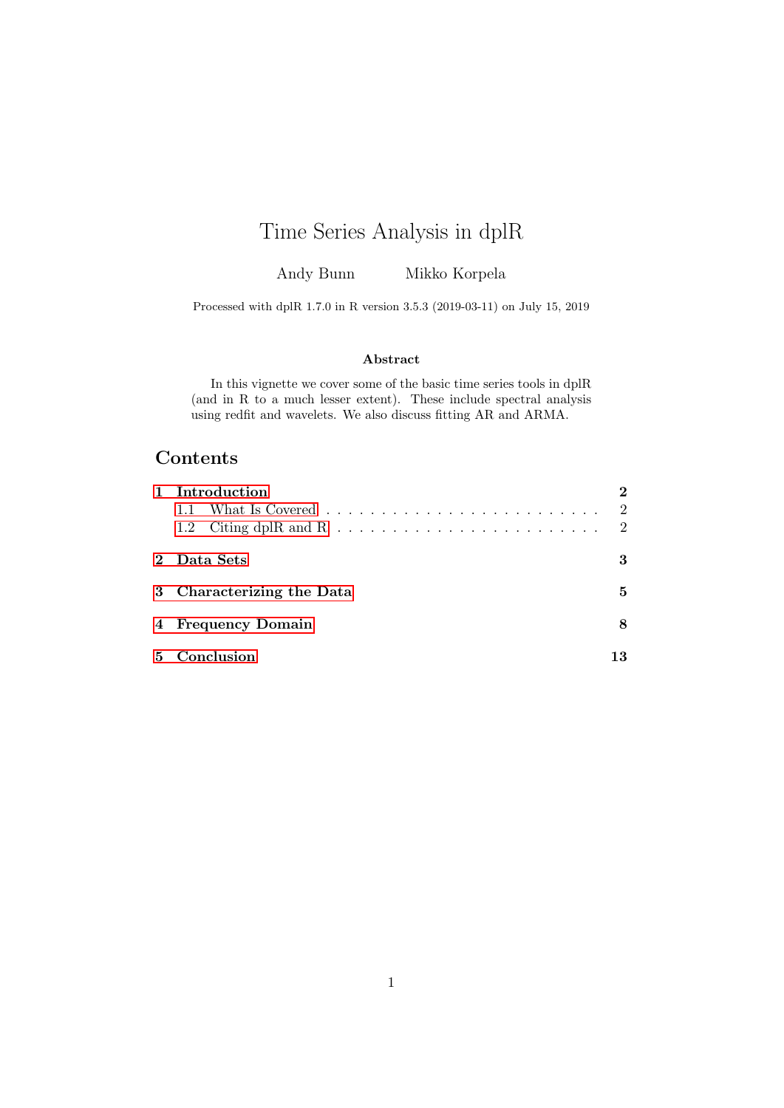# Time Series Analysis in dplR

Andy Bunn Mikko Korpela

Processed with dplR 1.7.0 in R version 3.5.3 (2019-03-11) on July 15, 2019

#### Abstract

In this vignette we cover some of the basic time series tools in dplR (and in R to a much lesser extent). These include spectral analysis using redfit and wavelets. We also discuss fitting AR and ARMA.

## **Contents**

|    | <b>Introduction</b>       |                |
|----|---------------------------|----------------|
|    |                           | 2              |
|    |                           | $\overline{2}$ |
|    | 2 Data Sets               | 3              |
|    | 3 Characterizing the Data | 5              |
|    | 4 Frequency Domain        | 8              |
| 5. | Conclusion                |                |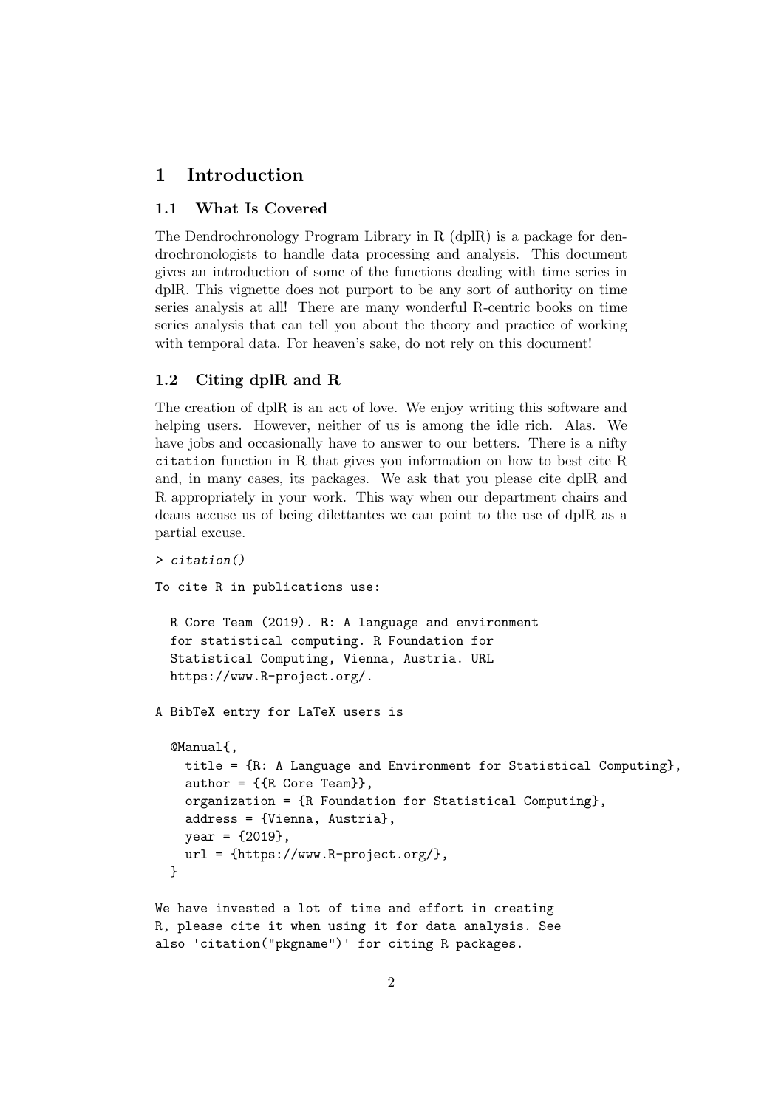#### <span id="page-1-0"></span>1 Introduction

#### <span id="page-1-1"></span>1.1 What Is Covered

The Dendrochronology Program Library in R (dplR) is a package for dendrochronologists to handle data processing and analysis. This document gives an introduction of some of the functions dealing with time series in dplR. This vignette does not purport to be any sort of authority on time series analysis at all! There are many wonderful R-centric books on time series analysis that can tell you about the theory and practice of working with temporal data. For heaven's sake, do not rely on this document!

#### <span id="page-1-2"></span>1.2 Citing dplR and R

The creation of dplR is an act of love. We enjoy writing this software and helping users. However, neither of us is among the idle rich. Alas. We have jobs and occasionally have to answer to our betters. There is a nifty citation function in R that gives you information on how to best cite R and, in many cases, its packages. We ask that you please cite dplR and R appropriately in your work. This way when our department chairs and deans accuse us of being dilettantes we can point to the use of dplR as a partial excuse.

```
> citation()
```
To cite R in publications use:

```
R Core Team (2019). R: A language and environment
for statistical computing. R Foundation for
Statistical Computing, Vienna, Austria. URL
https://www.R-project.org/.
```
A BibTeX entry for LaTeX users is

```
@Manual{,
 title = {R: A Language and Environment for Statistical Computing},
  author = \{R \text{ Core Team}\},\organization = {R Foundation for Statistical Computing},
 address = {Vienna, Austria},
 year = {2019},
 url = {https://www.R-project.org/},
}
```
We have invested a lot of time and effort in creating R, please cite it when using it for data analysis. See also 'citation("pkgname")' for citing R packages.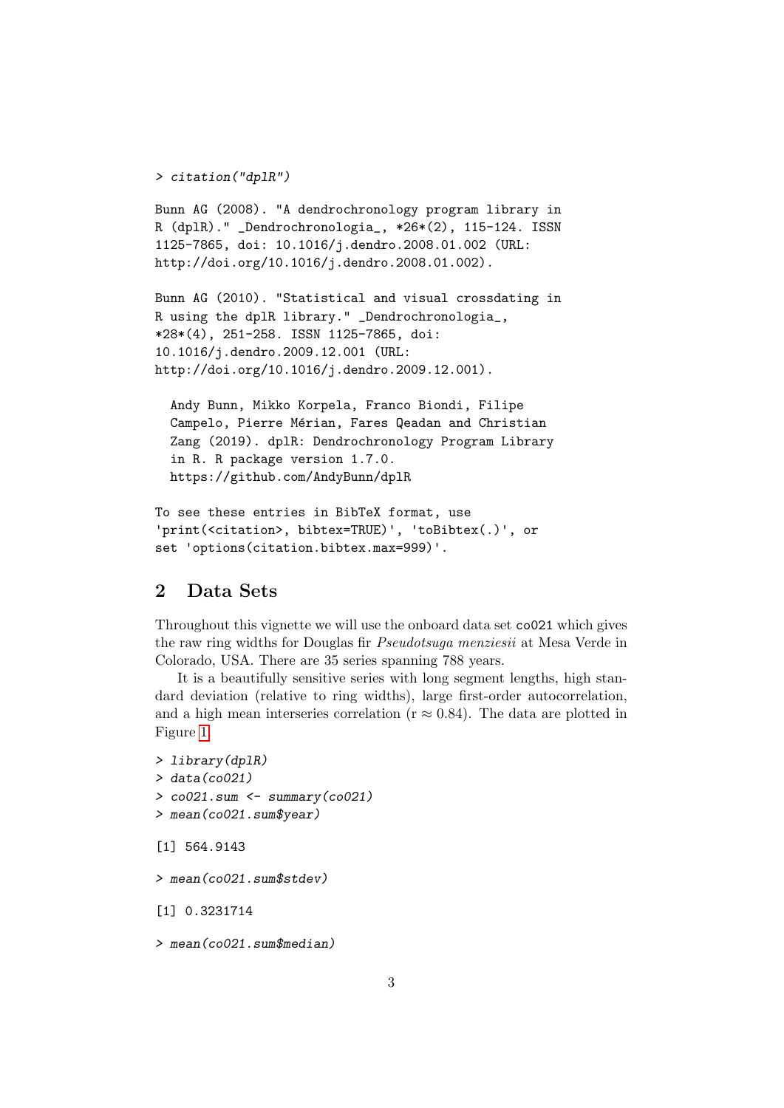```
> citation("dplR")
```

```
Bunn AG (2008). "A dendrochronology program library in
R (dplR)." _Dendrochronologia_, *26*(2), 115-124. ISSN
1125-7865, doi: 10.1016/j.dendro.2008.01.002 (URL:
http://doi.org/10.1016/j.dendro.2008.01.002).
```

```
Bunn AG (2010). "Statistical and visual crossdating in
R using the dplR library." _Dendrochronologia_,
*28*(4), 251-258. ISSN 1125-7865, doi:
10.1016/j.dendro.2009.12.001 (URL:
http://doi.org/10.1016/j.dendro.2009.12.001).
```

```
Andy Bunn, Mikko Korpela, Franco Biondi, Filipe
Campelo, Pierre Mérian, Fares Qeadan and Christian
Zang (2019). dplR: Dendrochronology Program Library
in R. R package version 1.7.0.
https://github.com/AndyBunn/dplR
```

```
To see these entries in BibTeX format, use
'print(<citation>, bibtex=TRUE)', 'toBibtex(.)', or
set 'options(citation.bibtex.max=999)'.
```
#### <span id="page-2-0"></span>2 Data Sets

Throughout this vignette we will use the onboard data set co021 which gives the raw ring widths for Douglas fir Pseudotsuga menziesii at Mesa Verde in Colorado, USA. There are 35 series spanning 788 years.

It is a beautifully sensitive series with long segment lengths, high standard deviation (relative to ring widths), large first-order autocorrelation, and a high mean interseries correlation ( $r \approx 0.84$ ). The data are plotted in Figure [1.](#page-3-0)

```
> library(dplR)
> data(co021)
> coO21.sum \leq summary(coO21)
> mean(co021.sum$year)
[1] 564.9143
> mean(co021.sum$stdev)
[1] 0.3231714
```

```
> mean(co021.sum$median)
```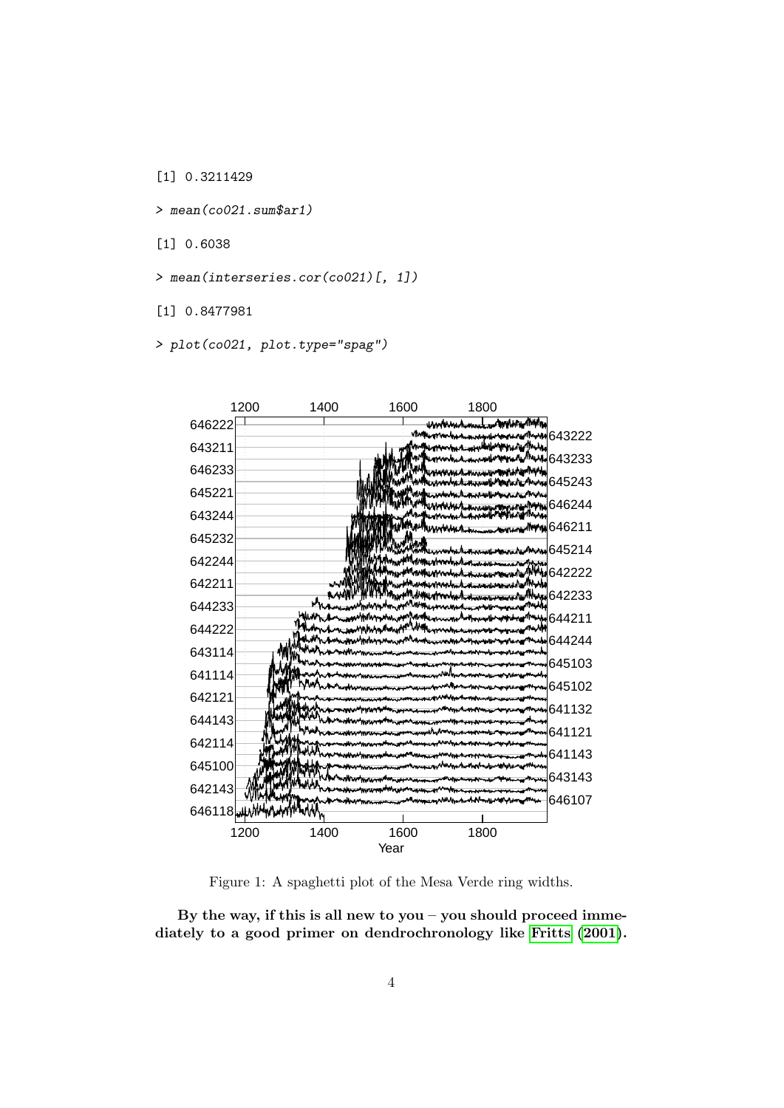[1] 0.3211429

> mean(co021.sum\$ar1)

[1] 0.6038

> mean(interseries.cor(co021)[, 1])

[1] 0.8477981

> plot(co021, plot.type="spag")



<span id="page-3-0"></span>Figure 1: A spaghetti plot of the Mesa Verde ring widths.

By the way, if this is all new to you – you should proceed immediately to a good primer on dendrochronology like [Fritts](#page-13-0) [\(2001\)](#page-13-0).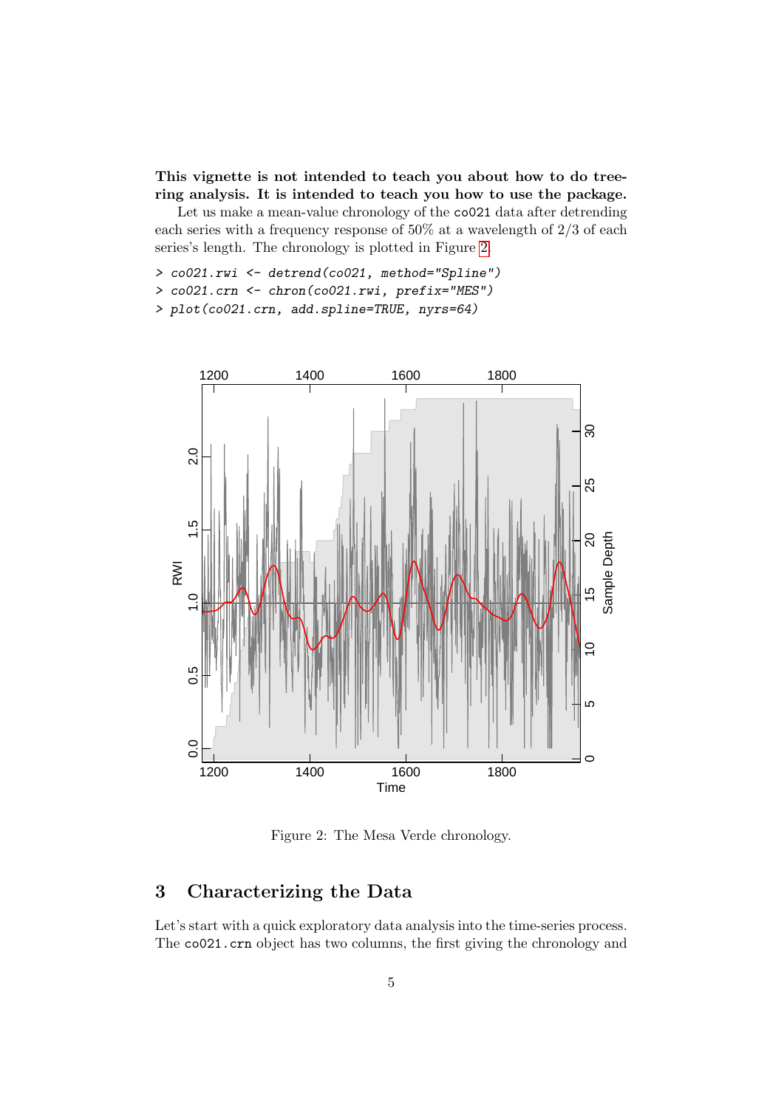This vignette is not intended to teach you about how to do treering analysis. It is intended to teach you how to use the package.

Let us make a mean-value chronology of the co021 data after detrending each series with a frequency response of 50% at a wavelength of 2/3 of each series's length. The chronology is plotted in Figure [2.](#page-4-1)

> co021.rwi <- detrend(co021, method="Spline")

> co021.crn <- chron(co021.rwi, prefix="MES")

> plot(co021.crn, add.spline=TRUE, nyrs=64)



<span id="page-4-1"></span>Figure 2: The Mesa Verde chronology.

### <span id="page-4-0"></span>3 Characterizing the Data

Let's start with a quick exploratory data analysis into the time-series process. The co021.crn object has two columns, the first giving the chronology and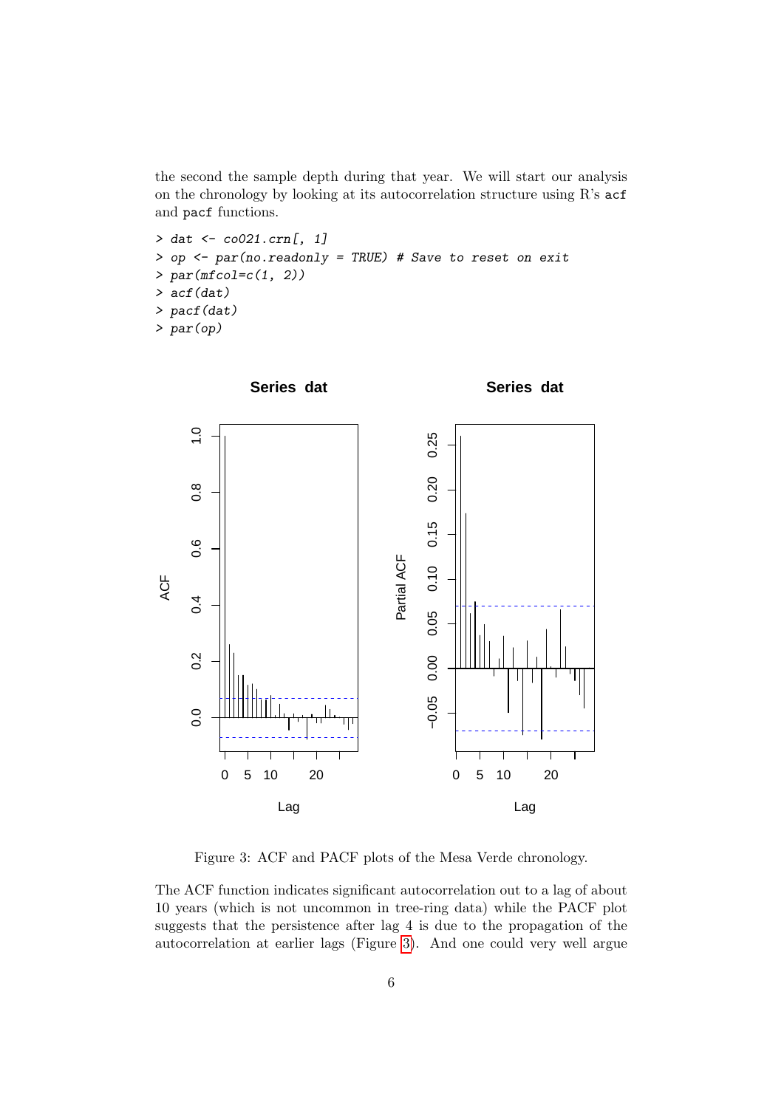the second the sample depth during that year. We will start our analysis on the chronology by looking at its autocorrelation structure using R's acf and pacf functions.

```
> dat <- co021.crn[, 1]
> op <- par(no.readonly = TRUE) # Save to reset on exit
> par(mfcol=c(1, 2))> acf(dat)
> pacf(dat)
> par(op)
```


<span id="page-5-0"></span>Figure 3: ACF and PACF plots of the Mesa Verde chronology.

The ACF function indicates significant autocorrelation out to a lag of about 10 years (which is not uncommon in tree-ring data) while the PACF plot suggests that the persistence after lag 4 is due to the propagation of the autocorrelation at earlier lags (Figure [3\)](#page-5-0). And one could very well argue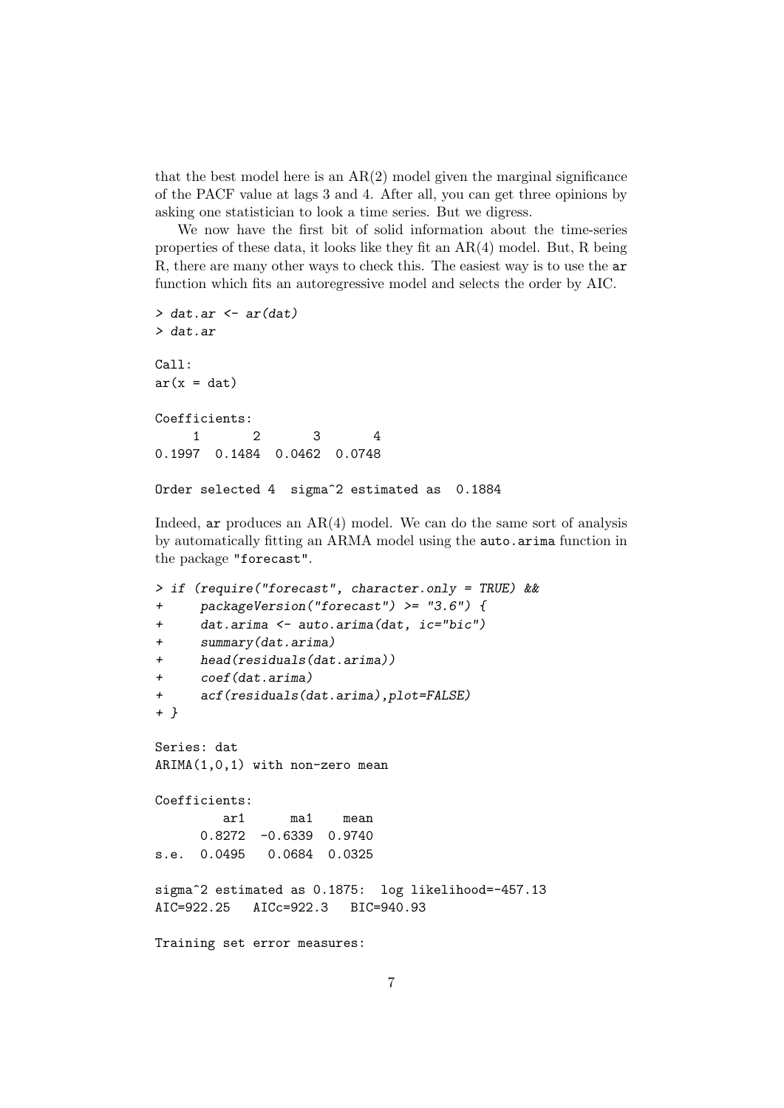that the best model here is an  $AR(2)$  model given the marginal significance of the PACF value at lags 3 and 4. After all, you can get three opinions by asking one statistician to look a time series. But we digress.

We now have the first bit of solid information about the time-series properties of these data, it looks like they fit an AR(4) model. But, R being R, there are many other ways to check this. The easiest way is to use the ar function which fits an autoregressive model and selects the order by AIC.

```
> dat.ar \leq ar(dat)
> dat.ar
Call:
ar(x = dat)Coefficients:
     1 2 3 4
0.1997 0.1484 0.0462 0.0748
Order selected 4 sigma<sup>2</sup> estimated as 0.1884
```
Indeed, ar produces an  $AR(4)$  model. We can do the same sort of analysis by automatically fitting an ARMA model using the auto.arima function in the package "forecast".

```
> if (require("forecast", character.only = TRUE) &&
+ packageVersion("forecast") >= "3.6") {
+ dat.arima <- auto.arima(dat, ic="bic")
+ summary(dat.arima)
+ head(residuals(dat.arima))
+ coef(dat.arima)
+ acf(residuals(dat.arima),plot=FALSE)
+ }
Series: dat
ARIMA(1,0,1) with non-zero mean
Coefficients:
        ar1 ma1 mean
     0.8272 -0.6339 0.9740
s.e. 0.0495 0.0684 0.0325
sigma^2 estimated as 0.1875: log likelihood=-457.13
AIC=922.25 AICc=922.3 BIC=940.93
Training set error measures:
```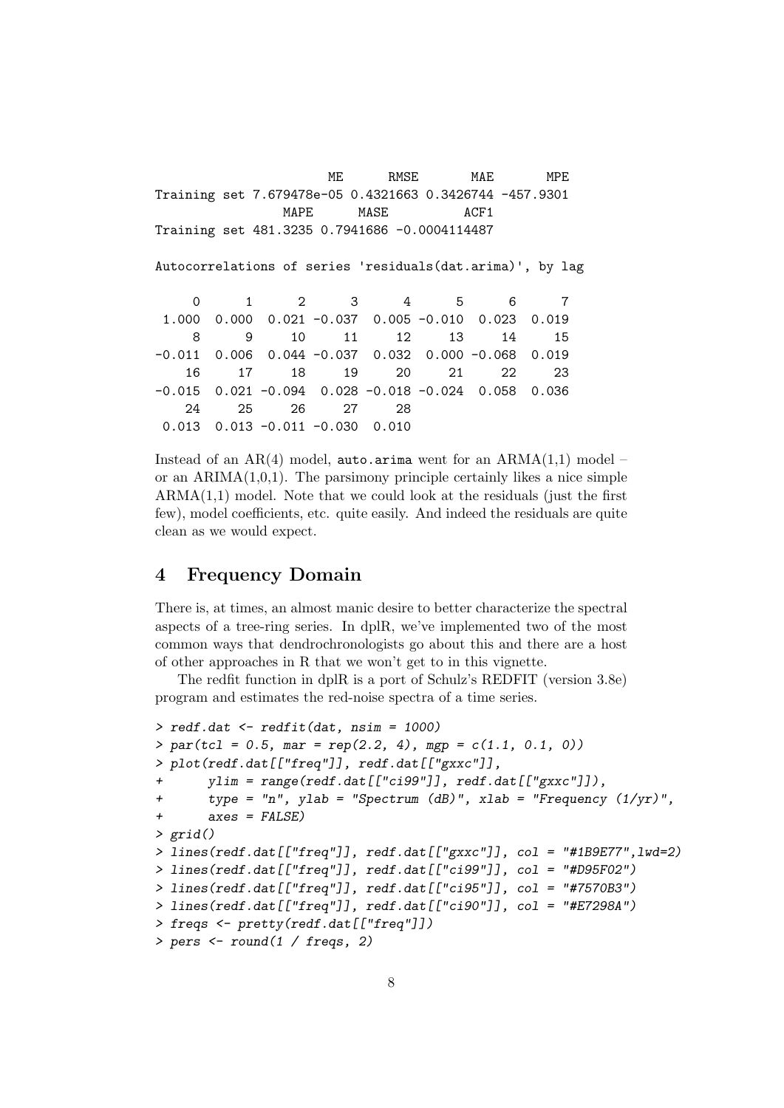ME RMSE MAE MPE Training set 7.679478e-05 0.4321663 0.3426744 -457.9301 MAPE MASE ACF1 Training set 481.3235 0.7941686 -0.0004114487 Autocorrelations of series 'residuals(dat.arima)', by lag 0 1 2 3 4 5 6 7 1.000 0.000 0.021 -0.037 0.005 -0.010 0.023 0.019 8 9 10 11 12 13 14 15 -0.011 0.006 0.044 -0.037 0.032 0.000 -0.068 0.019 16 17 18 19 20 21 22 23 -0.015 0.021 -0.094 0.028 -0.018 -0.024 0.058 0.036 24 25 26 27 28 0.013 0.013 -0.011 -0.030 0.010

Instead of an  $AR(4)$  model, auto.arima went for an  $ARMA(1,1)$  model – or an  $ARIMA(1,0,1)$ . The parsimony principle certainly likes a nice simple  $ARMA(1,1)$  model. Note that we could look at the residuals (just the first few), model coefficients, etc. quite easily. And indeed the residuals are quite clean as we would expect.

#### <span id="page-7-0"></span>4 Frequency Domain

There is, at times, an almost manic desire to better characterize the spectral aspects of a tree-ring series. In dplR, we've implemented two of the most common ways that dendrochronologists go about this and there are a host of other approaches in R that we won't get to in this vignette.

The redfit function in dplR is a port of Schulz's REDFIT (version 3.8e) program and estimates the red-noise spectra of a time series.

```
> redf.dat <- redfit(dat, nsim = 1000)
> par(tcl = 0.5, mar = rep(2.2, 4), mp = c(1.1, 0.1, 0))> plot(redf.dat[["freq"]], redf.dat[["gxxc"]],
       ylim = range(\text{redf.dat}[["cis99"]], \text{redf.dat}[["gxxc"]]),+ type = "n", ylab = "Spectrum (dB)", xlab = "Frequency (1/yr)",
+ axes = FALSE)
> grid()
> lines(redf.dat[["freq"]], redf.dat[["gxxc"]], col = "#1B9E77",lwd=2)
> lines(redf.dat[["freq"]], redf.dat[["ci99"]], col = "#D95F02")
> lines(redf.dat[["freq"]], redf.dat[["ci95"]], col = "#7570B3")
> lines(redf.dat[["freq"]], redf.dat[["ci90"]], col = "#E7298A")
> freqs <- pretty(redf.dat[["freq"]])
> pers <- round(1 / freqs, 2)
```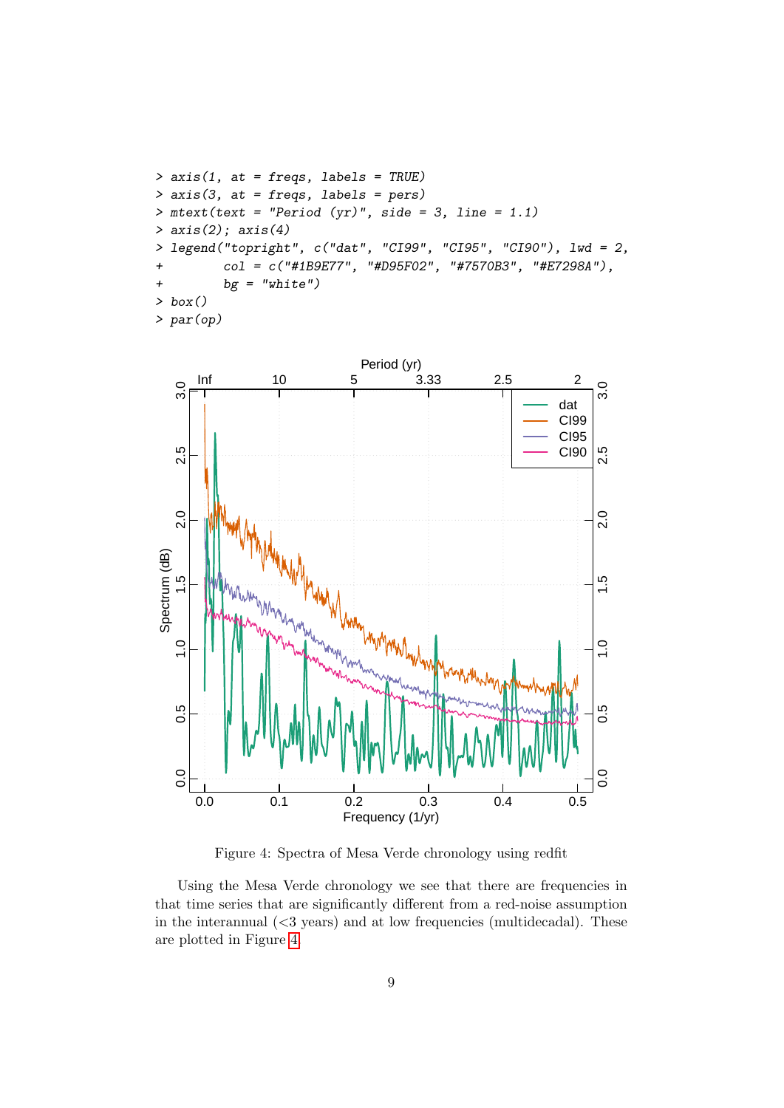```
> axis(1, at = freqs, labels = TRUE)
> axis(3, at = freqs, labels = pers)> mtext(text = "Period (yr)", side = 3, line = 1.1)
> axis(2); axis(4)
> legend("topright", c("dat", "CI99", "CI95", "CI90"), lwd = 2,
+ col = c("#1B9E77", "#D95F02", "#7570B3", "#E7298A"),
+ bg = "white")> box()
> par(op)
```


<span id="page-8-0"></span>Figure 4: Spectra of Mesa Verde chronology using redfit

Using the Mesa Verde chronology we see that there are frequencies in that time series that are significantly different from a red-noise assumption in the interannual  $\langle$  <3 years) and at low frequencies (multidecadal). These are plotted in Figure [4.](#page-8-0)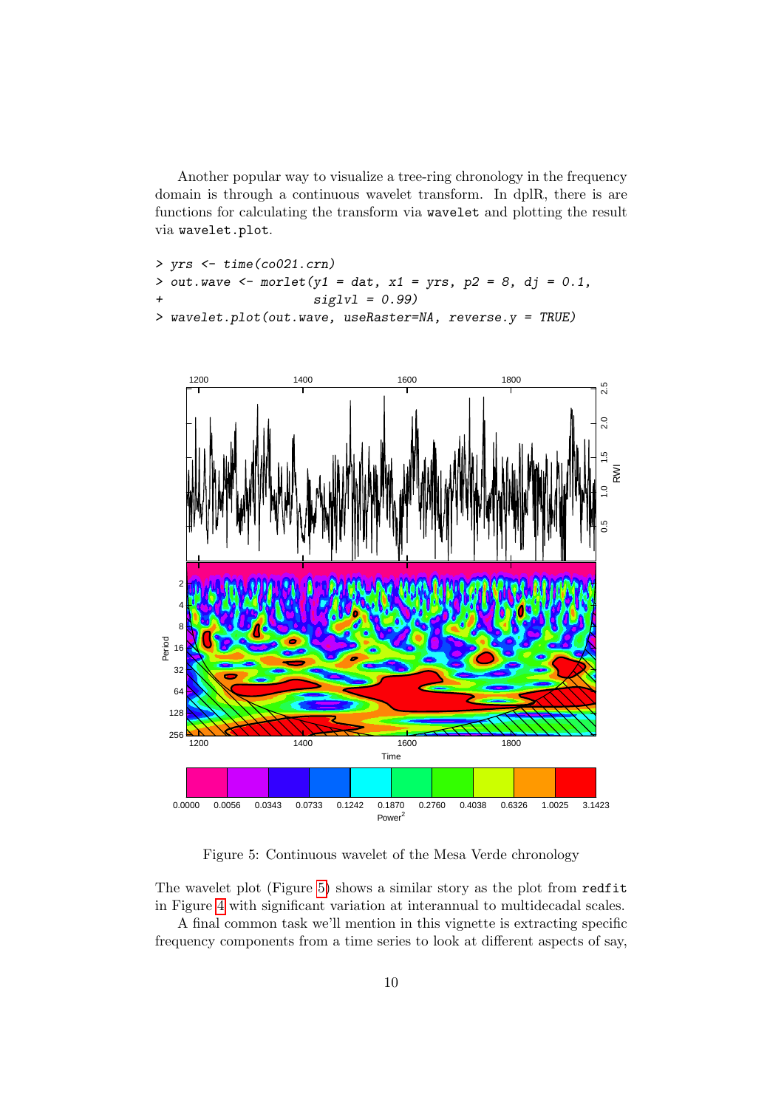Another popular way to visualize a tree-ring chronology in the frequency domain is through a continuous wavelet transform. In dplR, there is are functions for calculating the transform via wavelet and plotting the result via wavelet.plot.

```
> yrs <- time(co021.crn)
> out.wave <- morlet(y1 = dat, x1 = yrs, p2 = 8, dj = 0.1,
+ siglvl = 0.99)
> wavelet.plot(out.wave, useRaster=NA, reverse.y = TRUE)
```


<span id="page-9-0"></span>Figure 5: Continuous wavelet of the Mesa Verde chronology

The wavelet plot (Figure [5\)](#page-9-0) shows a similar story as the plot from redfit in Figure [4](#page-8-0) with significant variation at interannual to multidecadal scales.

A final common task we'll mention in this vignette is extracting specific frequency components from a time series to look at different aspects of say,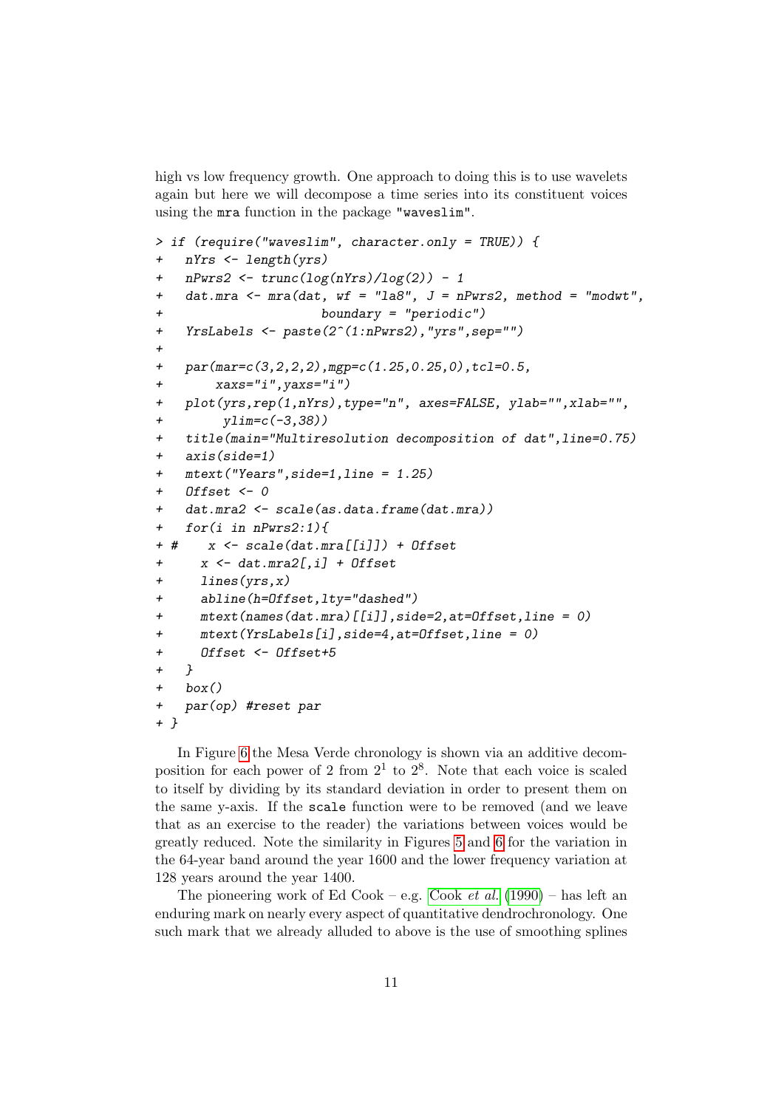high vs low frequency growth. One approach to doing this is to use wavelets again but here we will decompose a time series into its constituent voices using the mra function in the package "waveslim".

```
> if (require("waveslim", character.only = TRUE)) {
+ nYrs <- length(yrs)
+ nPwrs2 <- trunc(log(nYrs)/log(2)) - 1
+ dat.mra \leq mra(dat, wf = "la8", J = nPwrs2, method = "modwt",
+ boundary = "periodic")
+ YrsLabels <- paste(2^(1:nPwrs2),"yrs",sep="")
+
+ par(mar=c(3,2,2,2),mgp=c(1.25,0.25,0),tcl=0.5,
+ xaxs="i",yaxs="i")
+ plot(yrs,rep(1,nYrs),type="n", axes=FALSE, ylab="",xlab="",
+ ylim=c(-3,38))
+ title(main="Multiresolution decomposition of dat",line=0.75)
+ axis(side=1)
+ mtext("Years",side=1,line = 1.25)
+ Offset <- 0
+ dat.mra2 <- scale(as.data.frame(dat.mra))
+ for(i in nPwrs2:1){
+ # x <- scale(dat.mra[[i]]) + Offset
+ x \leftarrow dat.max[, i] + 0ffset
+ lines(yrs,x)
+ abline(h=Offset,lty="dashed")
+ mtext(names(dat.mra)[[i]],side=2,at=Offset,line = 0)
+ mtext(YrsLabels[i],side=4,at=Offset,line = 0)
+ Offset <- Offset+5
+ }
+ box()
+ par(op) #reset par
+ }
```
In Figure [6](#page-11-0) the Mesa Verde chronology is shown via an additive decomposition for each power of 2 from  $2<sup>1</sup>$  to  $2<sup>8</sup>$ . Note that each voice is scaled to itself by dividing by its standard deviation in order to present them on the same y-axis. If the scale function were to be removed (and we leave that as an exercise to the reader) the variations between voices would be greatly reduced. Note the similarity in Figures [5](#page-9-0) and [6](#page-11-0) for the variation in the 64-year band around the year 1600 and the lower frequency variation at 128 years around the year 1400.

The pioneering work of Ed [Cook](#page-13-1) – e.g. Cook *et al.* [\(1990\)](#page-13-1) – has left an enduring mark on nearly every aspect of quantitative dendrochronology. One such mark that we already alluded to above is the use of smoothing splines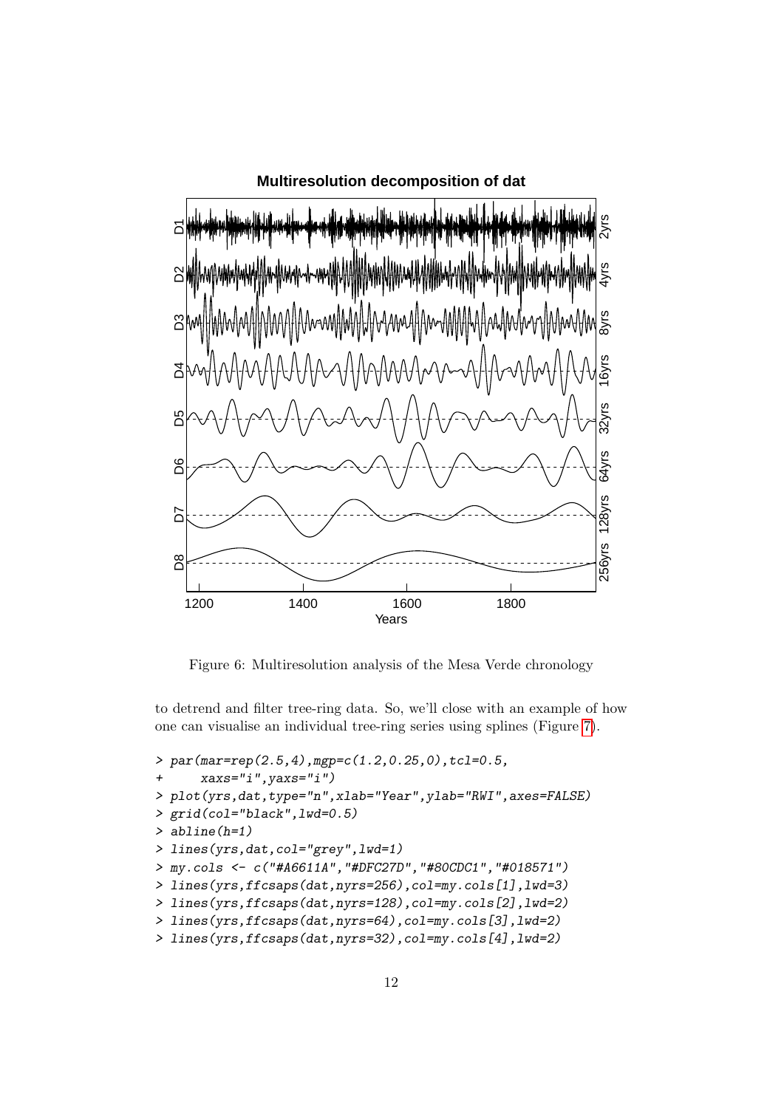

<span id="page-11-0"></span>Figure 6: Multiresolution analysis of the Mesa Verde chronology

to detrend and filter tree-ring data. So, we'll close with an example of how one can visualise an individual tree-ring series using splines (Figure [7\)](#page-12-1).

```
> par(mar=rep(2.5,4),mgp=c(1.2,0.25,0),tcl=0.5,
+ xaxs="i",yaxs="i")
> plot(yrs,dat,type="n",xlab="Year",ylab="RWI",axes=FALSE)
> grid(col="black",lwd=0.5)
> abline(h=1)
> lines(yrs,dat,col="grey",lwd=1)
> my.cols <- c("#A6611A","#DFC27D","#80CDC1","#018571")
> lines(yrs,ffcsaps(dat,nyrs=256),col=my.cols[1],lwd=3)
> lines(yrs,ffcsaps(dat,nyrs=128),col=my.cols[2],lwd=2)
> lines(yrs,ffcsaps(dat,nyrs=64),col=my.cols[3],lwd=2)
> lines(yrs,ffcsaps(dat,nyrs=32),col=my.cols[4],lwd=2)
```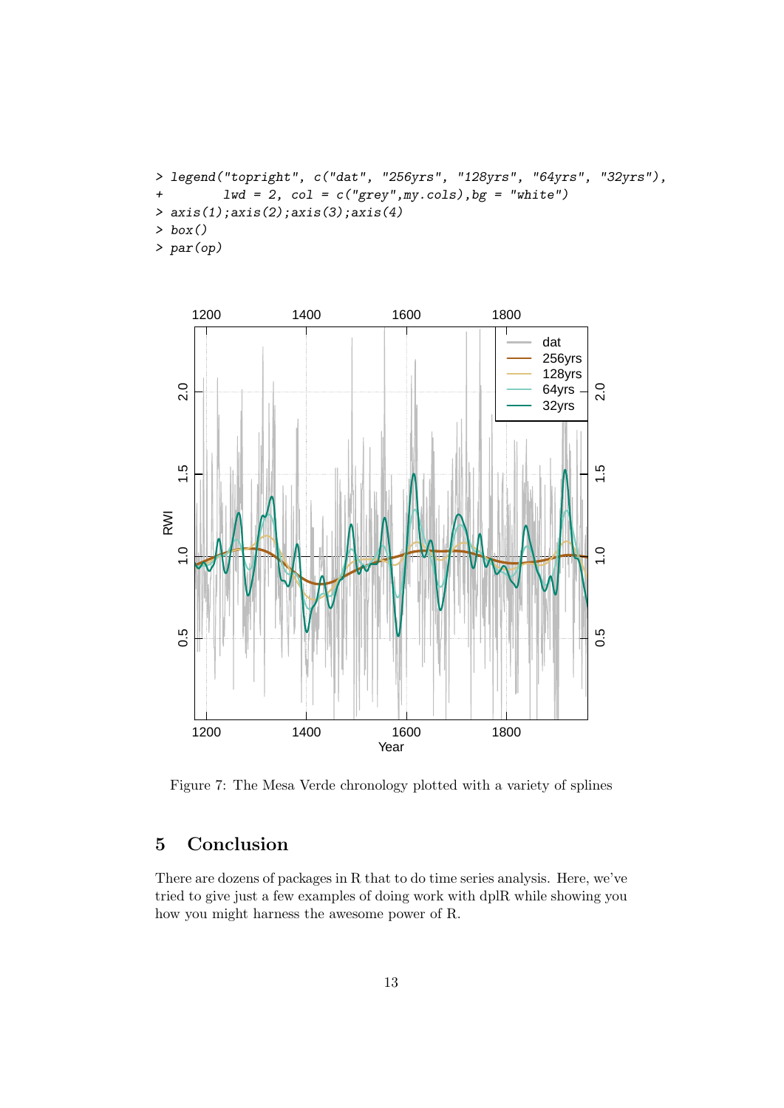```
> legend("topright", c("dat", "256yrs", "128yrs", "64yrs", "32yrs"),
+ lwd = 2, col = c("grey",my.cols),bg = "white")
> axis(1);axis(2);axis(3);axis(4)
> box()
> par(op)
```


<span id="page-12-1"></span>Figure 7: The Mesa Verde chronology plotted with a variety of splines

## <span id="page-12-0"></span>5 Conclusion

There are dozens of packages in R that to do time series analysis. Here, we've tried to give just a few examples of doing work with dplR while showing you how you might harness the awesome power of R.